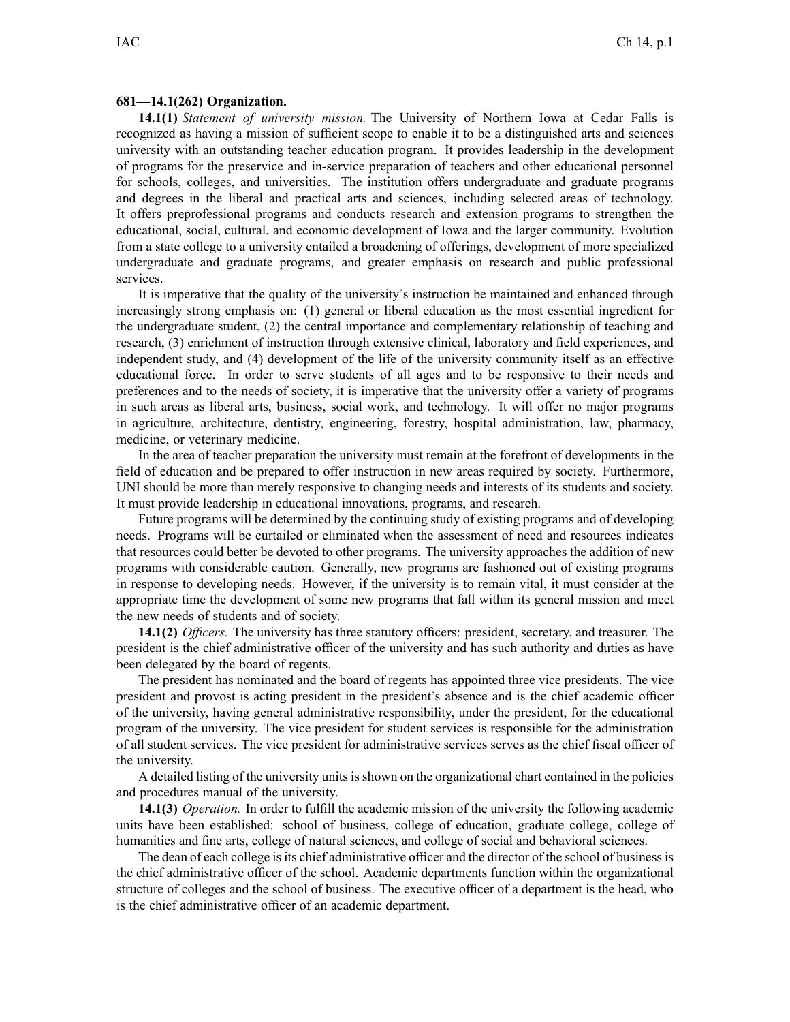## **681—14.1(262) Organization.**

**14.1(1)** *Statement of university mission.* The University of Northern Iowa at Cedar Falls is recognized as having <sup>a</sup> mission of sufficient scope to enable it to be <sup>a</sup> distinguished arts and sciences university with an outstanding teacher education program. It provides leadership in the development of programs for the preservice and in-service preparation of teachers and other educational personnel for schools, colleges, and universities. The institution offers undergraduate and graduate programs and degrees in the liberal and practical arts and sciences, including selected areas of technology. It offers preprofessional programs and conducts research and extension programs to strengthen the educational, social, cultural, and economic development of Iowa and the larger community. Evolution from <sup>a</sup> state college to <sup>a</sup> university entailed <sup>a</sup> broadening of offerings, development of more specialized undergraduate and graduate programs, and greater emphasis on research and public professional services.

It is imperative that the quality of the university's instruction be maintained and enhanced through increasingly strong emphasis on: (1) general or liberal education as the most essential ingredient for the undergraduate student, (2) the central importance and complementary relationship of teaching and research, (3) enrichment of instruction through extensive clinical, laboratory and field experiences, and independent study, and (4) development of the life of the university community itself as an effective educational force. In order to serve students of all ages and to be responsive to their needs and preferences and to the needs of society, it is imperative that the university offer <sup>a</sup> variety of programs in such areas as liberal arts, business, social work, and technology. It will offer no major programs in agriculture, architecture, dentistry, engineering, forestry, hospital administration, law, pharmacy, medicine, or veterinary medicine.

In the area of teacher preparation the university must remain at the forefront of developments in the field of education and be prepared to offer instruction in new areas required by society. Furthermore, UNI should be more than merely responsive to changing needs and interests of its students and society. It must provide leadership in educational innovations, programs, and research.

Future programs will be determined by the continuing study of existing programs and of developing needs. Programs will be curtailed or eliminated when the assessment of need and resources indicates that resources could better be devoted to other programs. The university approaches the addition of new programs with considerable caution. Generally, new programs are fashioned out of existing programs in response to developing needs. However, if the university is to remain vital, it must consider at the appropriate time the development of some new programs that fall within its general mission and meet the new needs of students and of society.

**14.1(2)** *Officers.* The university has three statutory officers: president, secretary, and treasurer. The president is the chief administrative officer of the university and has such authority and duties as have been delegated by the board of regents.

The president has nominated and the board of regents has appointed three vice presidents. The vice president and provos<sup>t</sup> is acting president in the president's absence and is the chief academic officer of the university, having general administrative responsibility, under the president, for the educational program of the university. The vice president for student services is responsible for the administration of all student services. The vice president for administrative services serves as the chief fiscal officer of the university.

A detailed listing of the university unitsisshown on the organizational chart contained in the policies and procedures manual of the university.

**14.1(3)** *Operation.* In order to fulfill the academic mission of the university the following academic units have been established: school of business, college of education, graduate college, college of humanities and fine arts, college of natural sciences, and college of social and behavioral sciences.

The dean of each college is its chief administrative officer and the director of the school of business is the chief administrative officer of the school. Academic departments function within the organizational structure of colleges and the school of business. The executive officer of <sup>a</sup> department is the head, who is the chief administrative officer of an academic department.